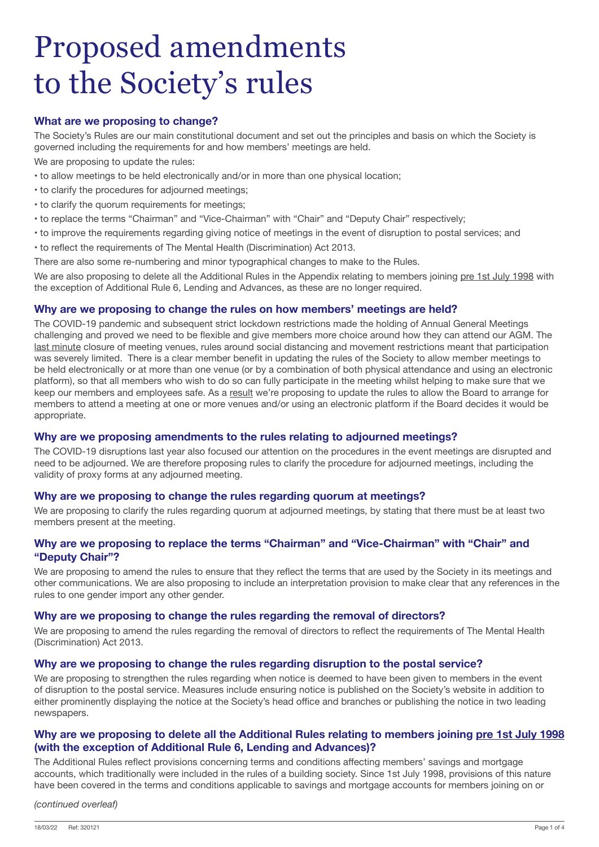# Proposed amendments to the Society's rules

## **What are we proposing to change?**

The Society's Rules are our main constitutional document and set out the principles and basis on which the Society is governed including the requirements for and how members' meetings are held.

We are proposing to update the rules:

- to allow meetings to be held electronically and/or in more than one physical location;
- to clarify the procedures for adjourned meetings;
- to clarify the quorum requirements for meetings;
- to replace the terms "Chairman" and "Vice-Chairman" with "Chair" and "Deputy Chair" respectively;
- to improve the requirements regarding giving notice of meetings in the event of disruption to postal services; and
- to reflect the requirements of The Mental Health (Discrimination) Act 2013.

There are also some re-numbering and minor typographical changes to make to the Rules.

We are also proposing to delete all the Additional Rules in the Appendix relating to members joining pre 1st July 1998 with the exception of Additional Rule 6, Lending and Advances, as these are no longer required.

## **Why are we proposing to change the rules on how members' meetings are held?**

The COVID-19 pandemic and subsequent strict lockdown restrictions made the holding of Annual General Meetings challenging and proved we need to be flexible and give members more choice around how they can attend our AGM. The last minute closure of meeting venues, rules around social distancing and movement restrictions meant that participation was severely limited. There is a clear member benefit in updating the rules of the Society to allow member meetings to be held electronically or at more than one venue (or by a combination of both physical attendance and using an electronic platform), so that all members who wish to do so can fully participate in the meeting whilst helping to make sure that we keep our members and employees safe. As a result we're proposing to update the rules to allow the Board to arrange for members to attend a meeting at one or more venues and/or using an electronic platform if the Board decides it would be appropriate.

## **Why are we proposing amendments to the rules relating to adjourned meetings?**

The COVID-19 disruptions last year also focused our attention on the procedures in the event meetings are disrupted and need to be adjourned. We are therefore proposing rules to clarify the procedure for adjourned meetings, including the validity of proxy forms at any adjourned meeting.

## **Why are we proposing to change the rules regarding quorum at meetings?**

We are proposing to clarify the rules regarding quorum at adjourned meetings, by stating that there must be at least two members present at the meeting.

## **Why are we proposing to replace the terms "Chairman" and "Vice-Chairman" with "Chair" and "Deputy Chair"?**

We are proposing to amend the rules to ensure that they reflect the terms that are used by the Society in its meetings and other communications. We are also proposing to include an interpretation provision to make clear that any references in the rules to one gender import any other gender.

## **Why are we proposing to change the rules regarding the removal of directors?**

We are proposing to amend the rules regarding the removal of directors to reflect the requirements of The Mental Health (Discrimination) Act 2013.

## **Why are we proposing to change the rules regarding disruption to the postal service?**

We are proposing to strengthen the rules regarding when notice is deemed to have been given to members in the event of disruption to the postal service. Measures include ensuring notice is published on the Society's website in addition to either prominently displaying the notice at the Society's head office and branches or publishing the notice in two leading newspapers.

## **Why are we proposing to delete all the Additional Rules relating to members joining pre 1st July 1998 (with the exception of Additional Rule 6, Lending and Advances)?**

The Additional Rules reflect provisions concerning terms and conditions affecting members' savings and mortgage accounts, which traditionally were included in the rules of a building society. Since 1st July 1998, provisions of this nature have been covered in the terms and conditions applicable to savings and mortgage accounts for members joining on or

*(continued overleaf)*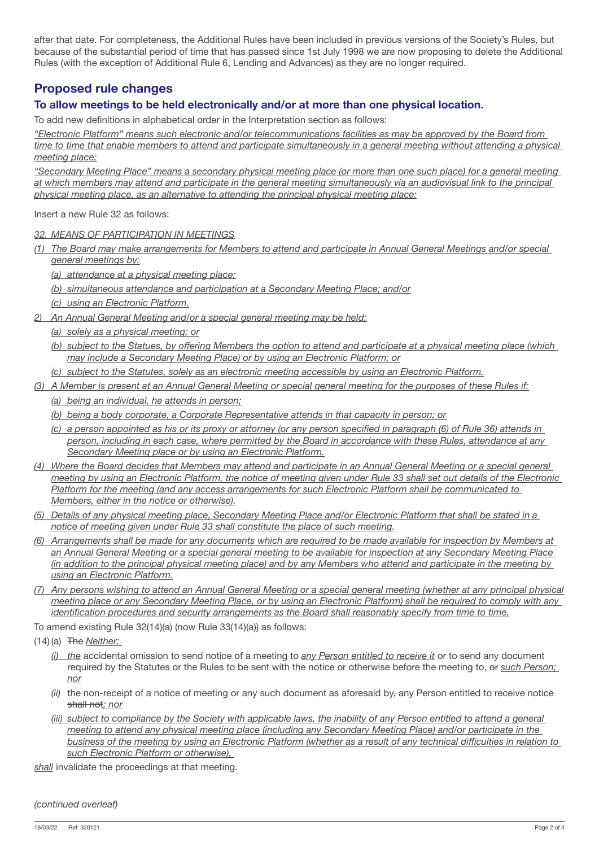after that date. For completeness, the Additional Rules have been included in previous versions of the Society's Rules, but because of the substantial period of time that has passed since 1st July 1998 we are now proposing to delete the Additional Rules (with the exception of Additional Rule 6, Lending and Advances) as they are no longer required.

# **Proposed rule changes**

# **To allow meetings to be held electronically and/or at more than one physical location.**

To add new definitions in alphabetical order in the Interpretation section as follows:

*"Electronic Platform" means such electronic and/or telecommunications facilities as may be approved by the Board from* 

*time to time that enable members to attend and participate simultaneously in a general meeting without attending a physical meeting place;*

*"Secondary Meeting Place" means a secondary physical meeting place (or more than one such place) for a general meeting at which members may attend and participate in the general meeting simultaneously via an audiovisual link to the principal physical meeting place, as an alternative to attending the principal physical meeting place;*

Insert a new Rule 32 as follows:

*32. MEANS OF PARTICIPATION IN MEETINGS*

*(1) The Board may make arrangements for Members to attend and participate in Annual General Meetings and/or special general meetings by:*

*(a) attendance at a physical meeting place;*

*(b) simultaneous attendance and participation at a Secondary Meeting Place; and/or*

- *(c) using an Electronic Platform.*
- *2) An Annual General Meeting and/or a special general meeting may be held:*
	- *(a) solely as a physical meeting; or*
	- (b) subject to the Statues, by offering Members the option to attend and participate at a physical meeting place (which *may include a Secondary Meeting Place) or by using an Electronic Platform; or*
	- *(c) subject to the Statutes, solely as an electronic meeting accessible by using an Electronic Platform.*
- *(3) A Member is present at an Annual General Meeting or special general meeting for the purposes of these Rules if: (a) being an individual, he attends in person;*
	- *(b) being a body corporate, a Corporate Representative attends in that capacity in person; or*
	- (c) a person appointed as his or its proxy or attorney (or any person specified in paragraph (6) of Rule 36) attends in *person, including in each case, where permitted by the Board in accordance with these Rules, attendance at any Secondary Meeting place or by using an Electronic Platform.*
- *(4) Where the Board decides that Members may attend and participate in an Annual General Meeting or a special general meeting by using an Electronic Platform, the notice of meeting given under Rule 33 shall set out details of the Electronic Platform for the meeting (and any access arrangements for such Electronic Platform shall be communicated to Members, either in the notice or otherwise).*
- *(5) Details of any physical meeting place, Secondary Meeting Place and/or Electronic Platform that shall be stated in a notice of meeting given under Rule 33 shall constitute the place of such meeting.*
- (6) Arrangements shall be made for any documents which are required to be made available for inspection by Members at *an Annual General Meeting or a special general meeting to be available for inspection at any Secondary Meeting Place (in addition to the principal physical meeting place) and by any Members who attend and participate in the meeting by using an Electronic Platform.*
- *(7) Any persons wishing to attend an Annual General Meeting or a special general meeting (whether at any principal physical*  meeting place or any Secondary Meeting Place, or by using an Electronic Platform) shall be required to comply with any *identification procedures and security arrangements as the Board shall reasonably specify from time to time.*

To amend existing Rule 32(14)(a) (now Rule 33(14)(a)) as follows:

- (14) (a) The *Neither:*
	- *(i) the* accidental omission to send notice of a meeting to *any Person entitled to receive it* or to send any document required by the Statutes or the Rules to be sent with the notice or otherwise before the meeting to, or *such Person; nor*
	- *(ii)* the non-receipt of a notice of meeting or any such document as aforesaid by, any Person entitled to receive notice shall not*; nor*
	- *(iii)* subject to compliance by the Society with applicable laws, the inability of any Person entitled to attend a general *meeting to attend any physical meeting place (including any Secondary Meeting Place) and/or participate in the*  business of the meeting by using an Electronic Platform (whether as a result of any technical difficulties in relation to *such Electronic Platform or otherwise),*

*shall* invalidate the proceedings at that meeting.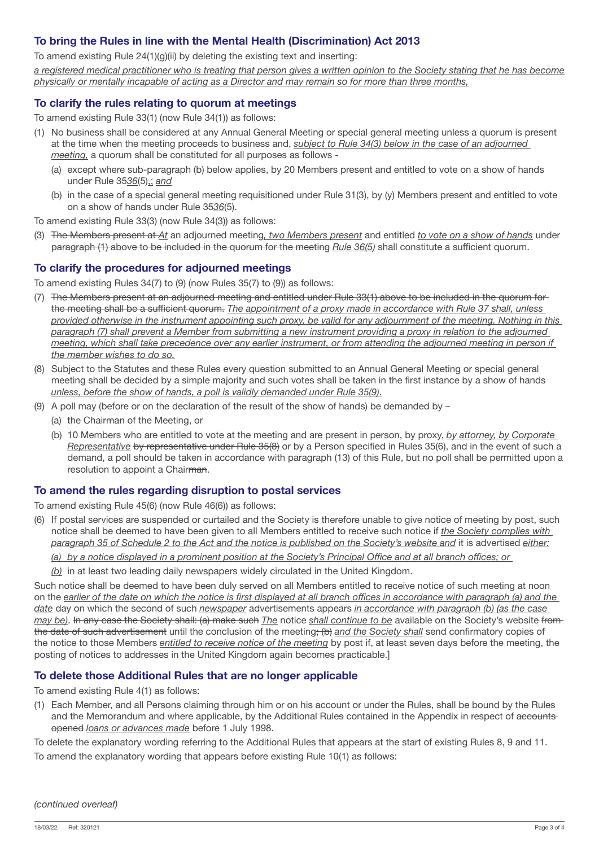## **To bring the Rules in line with the Mental Health (Discrimination) Act 2013**

To amend existing Rule 24(1)(g)(ii) by deleting the existing text and inserting:

*a registered medical practitioner who is treating that person gives a written opinion to the Society stating that he has become physically or mentally incapable of acting as a Director and may remain so for more than three months,*

## **To clarify the rules relating to quorum at meetings**

To amend existing Rule 33(1) (now Rule 34(1)) as follows:

- (1) No business shall be considered at any Annual General Meeting or special general meeting unless a quorum is present at the time when the meeting proceeds to business and, *subject to Rule 34(3) below in the case of an adjourned meeting,* a quorum shall be constituted for all purposes as follows -
	- (a) except where sub-paragraph (b) below applies, by 20 Members present and entitled to vote on a show of hands under Rule 35*36*(5),; *and*
	- (b) in the case of a special general meeting requisitioned under Rule 31(3), by (y) Members present and entitled to vote on a show of hands under Rule 35*36*(5).

To amend existing Rule 33(3) (now Rule 34(3)) as follows:

(3) The Members present at *At* an adjourned meeting*, two Members present* and entitled *to vote on a show of hands* under paragraph (1) above to be included in the quorum for the meeting *Rule 36(5)* shall constitute a sufficient quorum.

## **To clarify the procedures for adjourned meetings**

To amend existing Rules 34(7) to (9) (now Rules 35(7) to (9)) as follows:

- (7) The Members present at an adjourned meeting and entitled under Rule 33(1) above to be included in the quorum for the meeting shall be a sufficient quorum. *The appointment of a proxy made in accordance with Rule 37 shall, unless provided otherwise in the instrument appointing such proxy, be valid for any adjournment of the meeting. Nothing in this paragraph (7) shall prevent a Member from submitting a new instrument providing a proxy in relation to the adjourned meeting, which shall take precedence over any earlier instrument, or from attending the adjourned meeting in person if the member wishes to do so.*
- (8) Subject to the Statutes and these Rules every question submitted to an Annual General Meeting or special general meeting shall be decided by a simple majority and such votes shall be taken in the first instance by a show of hands *unless, before the show of hands, a poll is validly demanded under Rule 35(9)*.
- (9) A poll may (before or on the declaration of the result of the show of hands) be demanded by  $-$ 
	- (a) the Chairman of the Meeting, or
	- (b) 10 Members who are entitled to vote at the meeting and are present in person, by proxy, *by attorney, by Corporate Representative* by representative under Rule 35(8) or by a Person specified in Rules 35(6), and in the event of such a demand, a poll should be taken in accordance with paragraph (13) of this Rule, but no poll shall be permitted upon a resolution to appoint a Chairman.

## **To amend the rules regarding disruption to postal services**

To amend existing Rule 45(6) (now Rule 46(6)) as follows:

(6) If postal services are suspended or curtailed and the Society is therefore unable to give notice of meeting by post, such notice shall be deemed to have been given to all Members entitled to receive such notice if *the Society complies with paragraph 35 of Schedule 2 to the Act and the notice is published on the Society's website and* it is advertised *either:*

(a) by a notice displayed in a prominent position at the Society's Principal Office and at all branch offices; or

*(b)* in at least two leading daily newspapers widely circulated in the United Kingdom.

Such notice shall be deemed to have been duly served on all Members entitled to receive notice of such meeting at noon on the earlier of the date on which the notice is first displayed at all branch offices in accordance with paragraph (a) and the *date* day on which the second of such *newspaper* advertisements appears *in accordance with paragraph (b) (as the case may be)*. In any case the Society shall: (a) make such *The* notice *shall continue to be* available on the Society's website from the date of such advertisement until the conclusion of the meeting; (b) and the Society shall send confirmatory copies of the notice to those Members *entitled to receive notice of the meeting* by post if, at least seven days before the meeting, the posting of notices to addresses in the United Kingdom again becomes practicable.]

### **To delete those Additional Rules that are no longer applicable**

To amend existing Rule 4(1) as follows:

(1) Each Member, and all Persons claiming through him or on his account or under the Rules, shall be bound by the Rules and the Memorandum and where applicable, by the Additional Rules contained in the Appendix in respect of accounts opened *loans or advances made* before 1 July 1998.

To delete the explanatory wording referring to the Additional Rules that appears at the start of existing Rules 8, 9 and 11.

To amend the explanatory wording that appears before existing Rule 10(1) as follows: